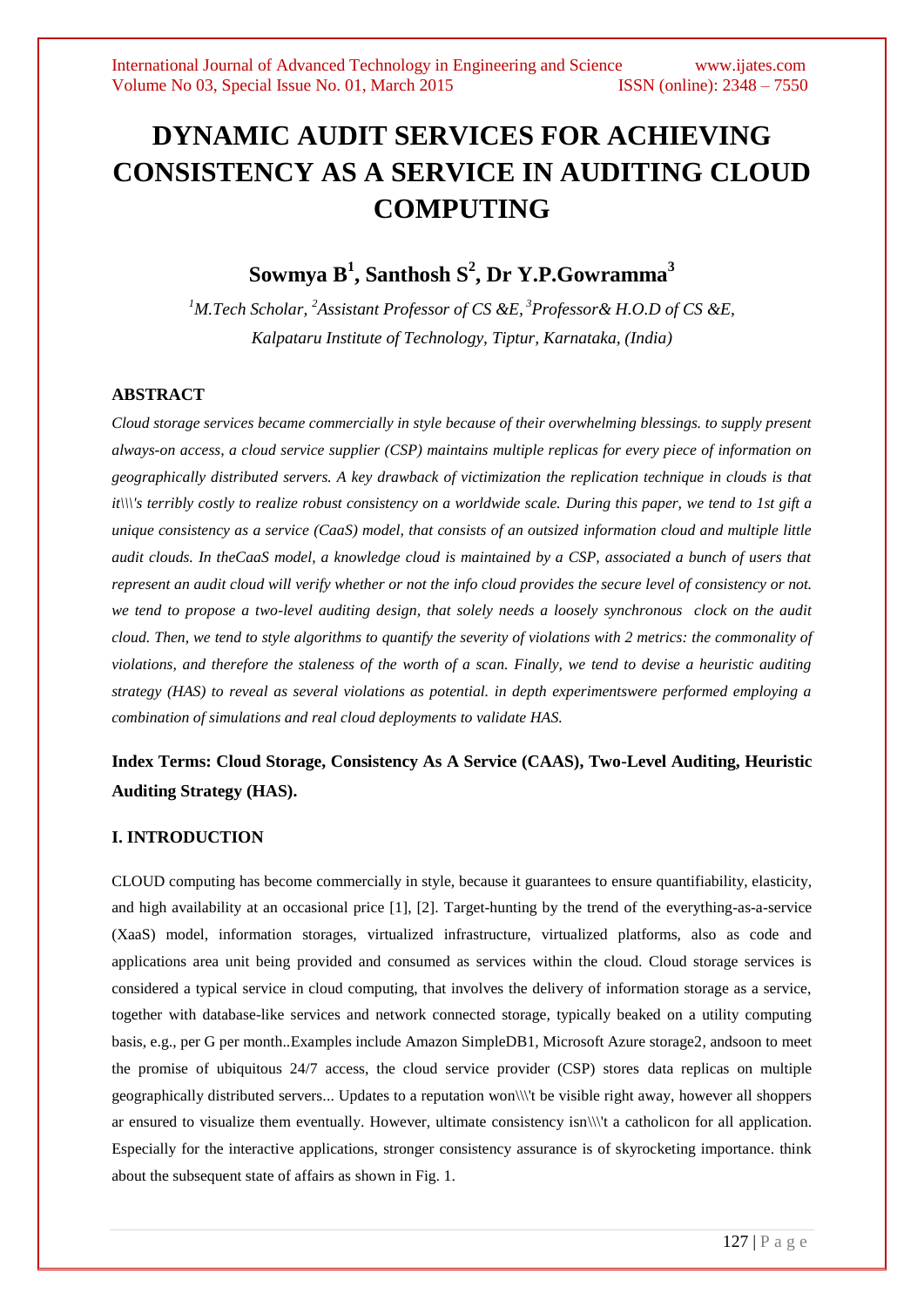# **DYNAMIC AUDIT SERVICES FOR ACHIEVING CONSISTENCY AS A SERVICE IN AUDITING CLOUD COMPUTING**

# **Sowmya B<sup>1</sup> , Santhosh S<sup>2</sup> , Dr Y.P.Gowramma<sup>3</sup>**

*<sup>1</sup>M.Tech Scholar, <sup>2</sup>Assistant Professor of CS &E, <sup>3</sup>Professor& H.O.D of CS &E, Kalpataru Institute of Technology, Tiptur, Karnataka, (India)*

# **ABSTRACT**

*Cloud storage services became commercially in style because of their overwhelming blessings. to supply present always-on access, a cloud service supplier (CSP) maintains multiple replicas for every piece of information on geographically distributed servers. A key drawback of victimization the replication technique in clouds is that it\\\'s terribly costly to realize robust consistency on a worldwide scale. During this paper, we tend to 1st gift a unique consistency as a service (CaaS) model, that consists of an outsized information cloud and multiple little audit clouds. In theCaaS model, a knowledge cloud is maintained by a CSP, associated a bunch of users that represent an audit cloud will verify whether or not the info cloud provides the secure level of consistency or not. we tend to propose a two-level auditing design, that solely needs a loosely synchronous clock on the audit cloud. Then, we tend to style algorithms to quantify the severity of violations with 2 metrics: the commonality of violations, and therefore the staleness of the worth of a scan. Finally, we tend to devise a heuristic auditing strategy (HAS) to reveal as several violations as potential. in depth experimentswere performed employing a combination of simulations and real cloud deployments to validate HAS.*

# **Index Terms: Cloud Storage, Consistency As A Service (CAAS), Two-Level Auditing, Heuristic Auditing Strategy (HAS).**

#### **I. INTRODUCTION**

CLOUD computing has become commercially in style, because it guarantees to ensure quantifiability, elasticity, and high availability at an occasional price [1], [2]. Target-hunting by the trend of the everything-as-a-service (XaaS) model, information storages, virtualized infrastructure, virtualized platforms, also as code and applications area unit being provided and consumed as services within the cloud. Cloud storage services is considered a typical service in cloud computing, that involves the delivery of information storage as a service, together with database-like services and network connected storage, typically beaked on a utility computing basis, e.g., per G per month..Examples include Amazon SimpleDB1, Microsoft Azure storage2, andsoon to meet the promise of ubiquitous 24/7 access, the cloud service provider (CSP) stores data replicas on multiple geographically distributed servers... Updates to a reputation won\\\'t be visible right away, however all shoppers ar ensured to visualize them eventually. However, ultimate consistency isn\\\'t a catholicon for all application. Especially for the interactive applications, stronger consistency assurance is of skyrocketing importance. think about the subsequent state of affairs as shown in Fig. 1.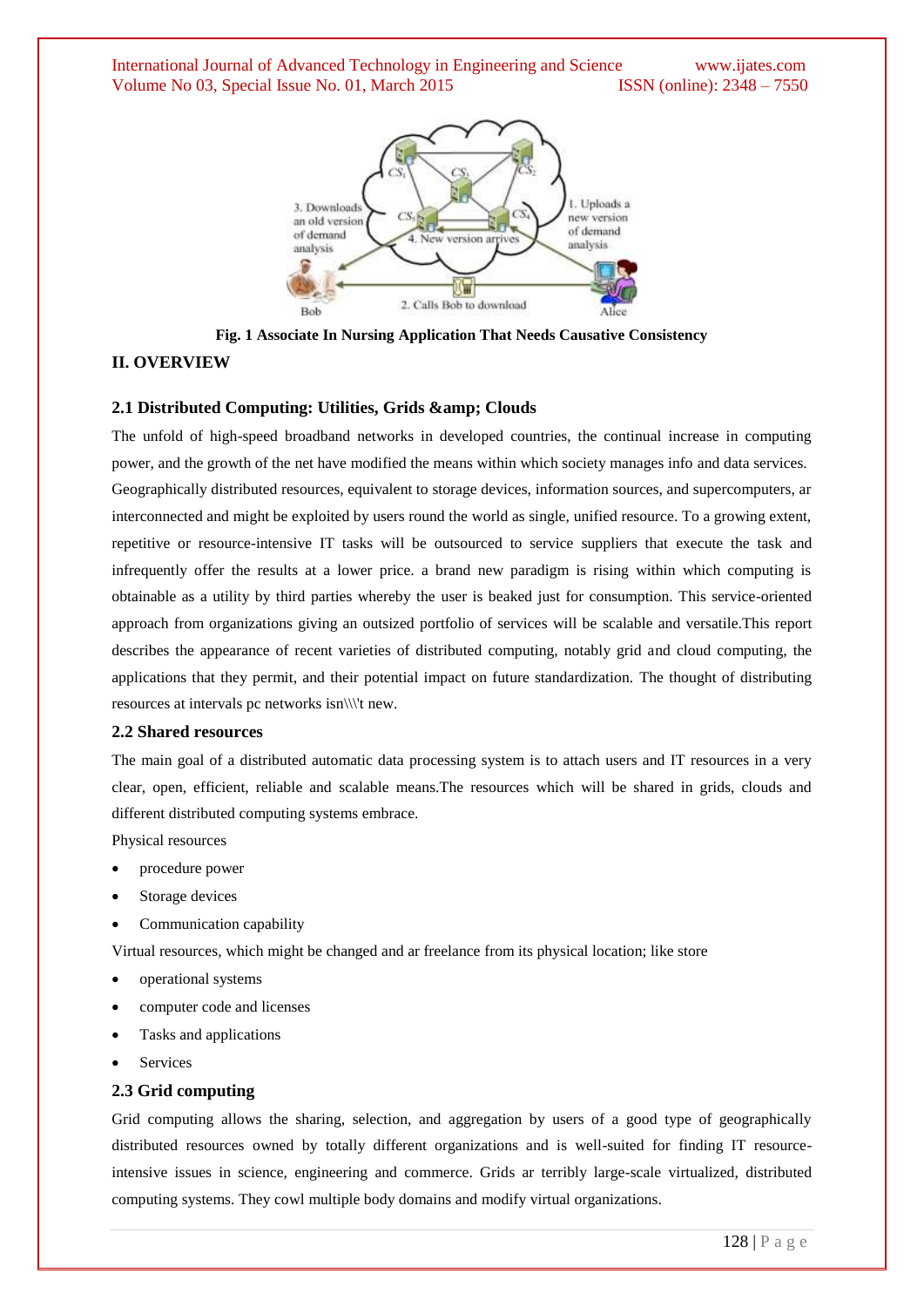International Journal of Advanced Technology in Engineering and Science www.ijates.com Volume No 03, Special Issue No. 01, March 2015 ISSN (online): 2348 – 7550



**Fig. 1 Associate In Nursing Application That Needs Causative Consistency**

#### **II. OVERVIEW**

#### **2.1 Distributed Computing: Utilities, Grids & amp; Clouds**

The unfold of high-speed broadband networks in developed countries, the continual increase in computing power, and the growth of the net have modified the means within which society manages info and data services. Geographically distributed resources, equivalent to storage devices, information sources, and supercomputers, ar interconnected and might be exploited by users round the world as single, unified resource. To a growing extent, repetitive or resource-intensive IT tasks will be outsourced to service suppliers that execute the task and infrequently offer the results at a lower price. a brand new paradigm is rising within which computing is obtainable as a utility by third parties whereby the user is beaked just for consumption. This service-oriented approach from organizations giving an outsized portfolio of services will be scalable and versatile.This report describes the appearance of recent varieties of distributed computing, notably grid and cloud computing, the applications that they permit, and their potential impact on future standardization. The thought of distributing resources at intervals pc networks isn\\\'t new.

#### **2.2 Shared resources**

The main goal of a distributed automatic data processing system is to attach users and IT resources in a very clear, open, efficient, reliable and scalable means.The resources which will be shared in grids, clouds and different distributed computing systems embrace.

Physical resources

- procedure power
- Storage devices
- Communication capability

Virtual resources, which might be changed and ar freelance from its physical location; like store

- operational systems
- computer code and licenses
- Tasks and applications
- Services

#### **2.3 Grid computing**

Grid computing allows the sharing, selection, and aggregation by users of a good type of geographically distributed resources owned by totally different organizations and is well-suited for finding IT resourceintensive issues in science, engineering and commerce. Grids ar terribly large-scale virtualized, distributed computing systems. They cowl multiple body domains and modify virtual organizations.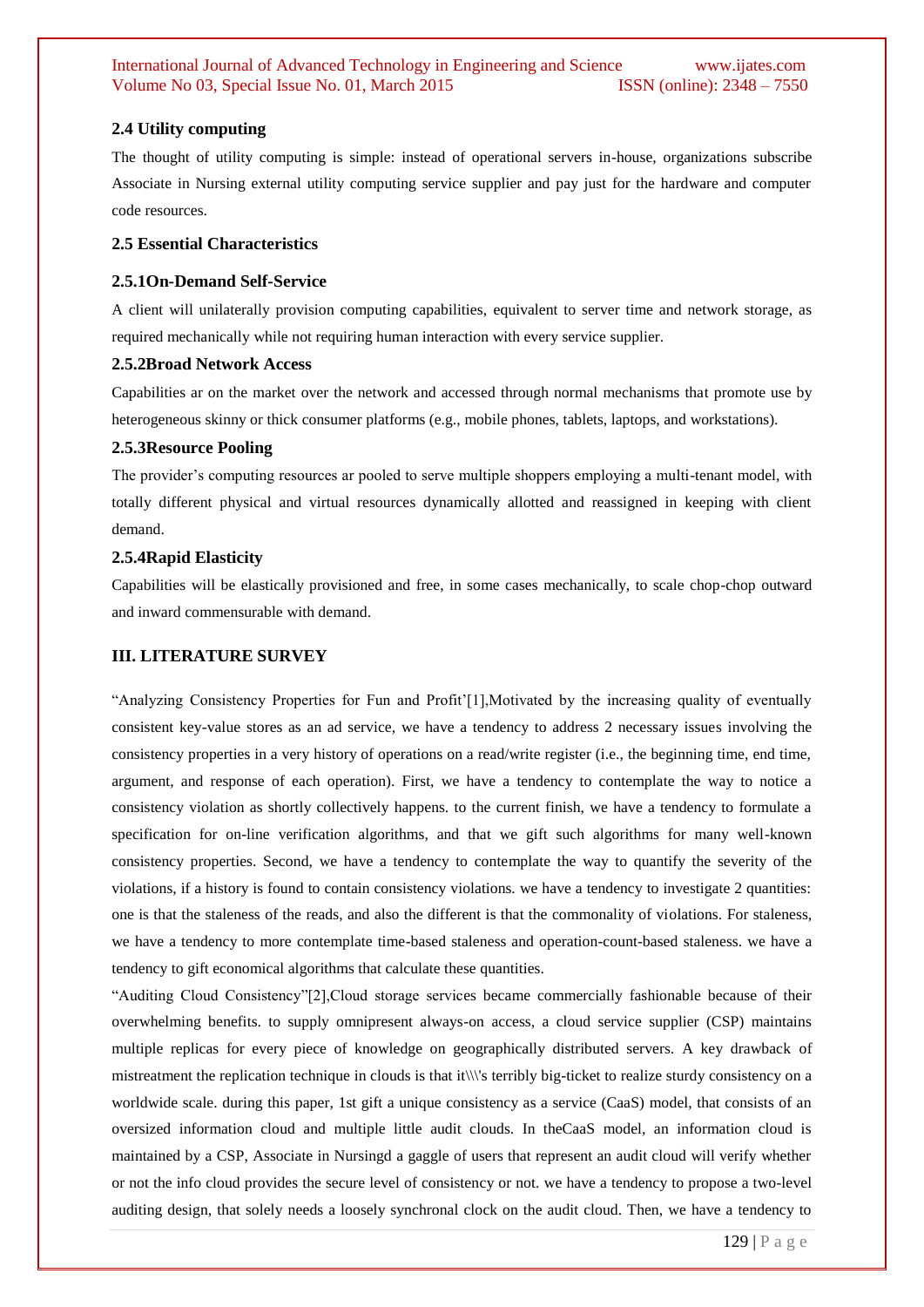# **2.4 Utility computing**

The thought of utility computing is simple: instead of operational servers in-house, organizations subscribe Associate in Nursing external utility computing service supplier and pay just for the hardware and computer code resources.

#### **2.5 Essential Characteristics**

# **2.5.1On-Demand Self-Service**

A client will unilaterally provision computing capabilities, equivalent to server time and network storage, as required mechanically while not requiring human interaction with every service supplier.

#### **2.5.2Broad Network Access**

Capabilities ar on the market over the network and accessed through normal mechanisms that promote use by heterogeneous skinny or thick consumer platforms (e.g., mobile phones, tablets, laptops, and workstations).

# **2.5.3Resource Pooling**

The provider's computing resources ar pooled to serve multiple shoppers employing a multi-tenant model, with totally different physical and virtual resources dynamically allotted and reassigned in keeping with client demand.

# **2.5.4Rapid Elasticity**

Capabilities will be elastically provisioned and free, in some cases mechanically, to scale chop-chop outward and inward commensurable with demand.

# **III. LITERATURE SURVEY**

"Analyzing Consistency Properties for Fun and Profit'[1],Motivated by the increasing quality of eventually consistent key-value stores as an ad service, we have a tendency to address 2 necessary issues involving the consistency properties in a very history of operations on a read/write register (i.e., the beginning time, end time, argument, and response of each operation). First, we have a tendency to contemplate the way to notice a consistency violation as shortly collectively happens. to the current finish, we have a tendency to formulate a specification for on-line verification algorithms, and that we gift such algorithms for many well-known consistency properties. Second, we have a tendency to contemplate the way to quantify the severity of the violations, if a history is found to contain consistency violations. we have a tendency to investigate 2 quantities: one is that the staleness of the reads, and also the different is that the commonality of violations. For staleness, we have a tendency to more contemplate time-based staleness and operation-count-based staleness. we have a tendency to gift economical algorithms that calculate these quantities.

"Auditing Cloud Consistency"[2],Cloud storage services became commercially fashionable because of their overwhelming benefits. to supply omnipresent always-on access, a cloud service supplier (CSP) maintains multiple replicas for every piece of knowledge on geographically distributed servers. A key drawback of mistreatment the replication technique in clouds is that it\\\'s terribly big-ticket to realize sturdy consistency on a worldwide scale. during this paper, 1st gift a unique consistency as a service (CaaS) model, that consists of an oversized information cloud and multiple little audit clouds. In theCaaS model, an information cloud is maintained by a CSP, Associate in Nursingd a gaggle of users that represent an audit cloud will verify whether or not the info cloud provides the secure level of consistency or not. we have a tendency to propose a two-level auditing design, that solely needs a loosely synchronal clock on the audit cloud. Then, we have a tendency to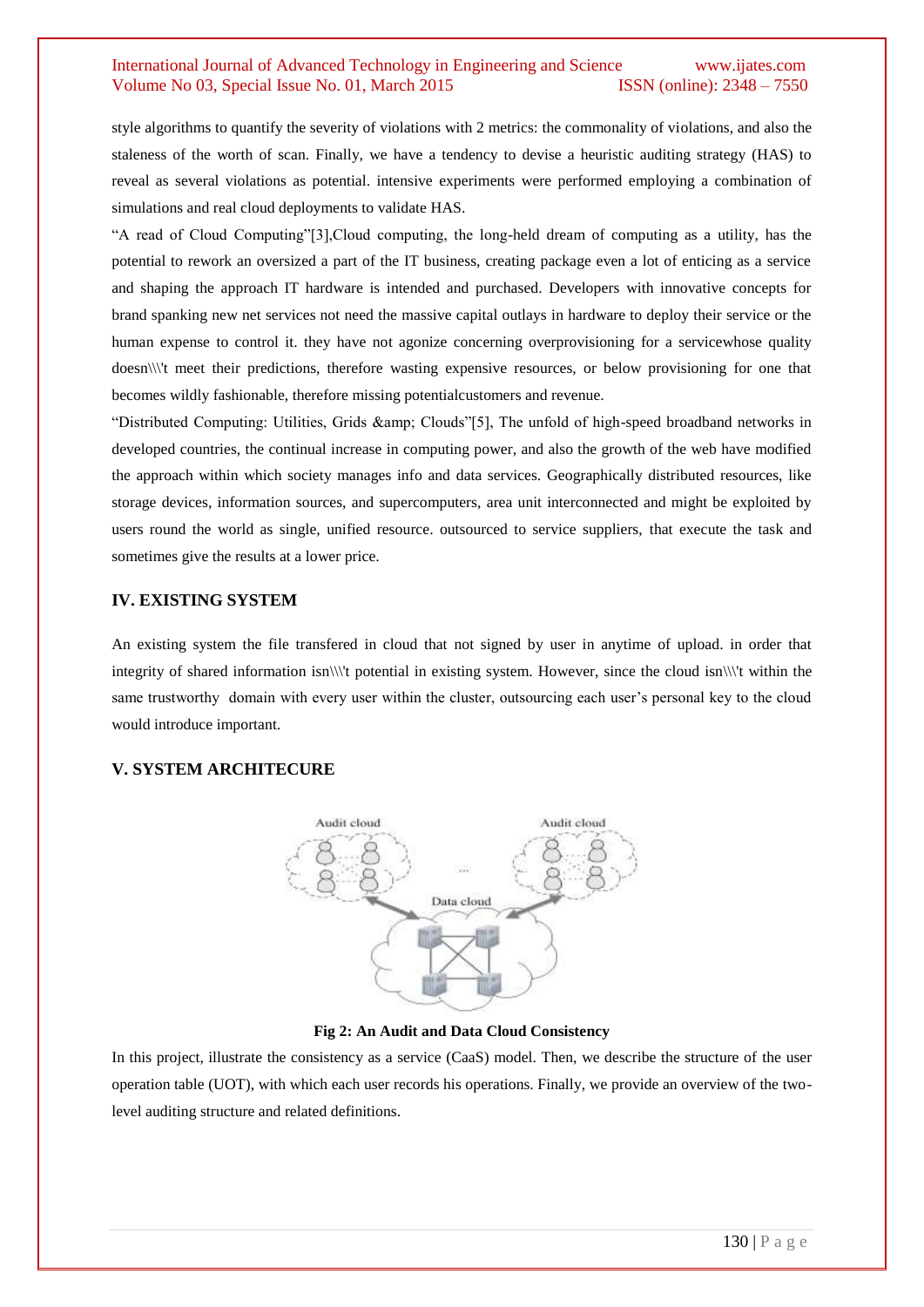# International Journal of Advanced Technology in Engineering and Science www.ijates.com Volume No 03, Special Issue No. 01, March 2015 **ISSN** (online): 2348 – 7550

style algorithms to quantify the severity of violations with 2 metrics: the commonality of violations, and also the staleness of the worth of scan. Finally, we have a tendency to devise a heuristic auditing strategy (HAS) to reveal as several violations as potential. intensive experiments were performed employing a combination of simulations and real cloud deployments to validate HAS.

"A read of Cloud Computing"[3],Cloud computing, the long-held dream of computing as a utility, has the potential to rework an oversized a part of the IT business, creating package even a lot of enticing as a service and shaping the approach IT hardware is intended and purchased. Developers with innovative concepts for brand spanking new net services not need the massive capital outlays in hardware to deploy their service or the human expense to control it. they have not agonize concerning overprovisioning for a servicewhose quality doesn\\\'t meet their predictions, therefore wasting expensive resources, or below provisioning for one that becomes wildly fashionable, therefore missing potentialcustomers and revenue.

"Distributed Computing: Utilities, Grids & amp; Clouds"[5], The unfold of high-speed broadband networks in developed countries, the continual increase in computing power, and also the growth of the web have modified the approach within which society manages info and data services. Geographically distributed resources, like storage devices, information sources, and supercomputers, area unit interconnected and might be exploited by users round the world as single, unified resource. outsourced to service suppliers, that execute the task and sometimes give the results at a lower price.

#### **IV. EXISTING SYSTEM**

An existing system the file transfered in cloud that not signed by user in anytime of upload. in order that integrity of shared information isn\\\'t potential in existing system. However, since the cloud isn\\\'t within the same trustworthy domain with every user within the cluster, outsourcing each user's personal key to the cloud would introduce important.

#### **V. SYSTEM ARCHITECURE**



#### **Fig 2: An Audit and Data Cloud Consistency**

In this project, illustrate the consistency as a service (CaaS) model. Then, we describe the structure of the user operation table (UOT), with which each user records his operations. Finally, we provide an overview of the twolevel auditing structure and related definitions.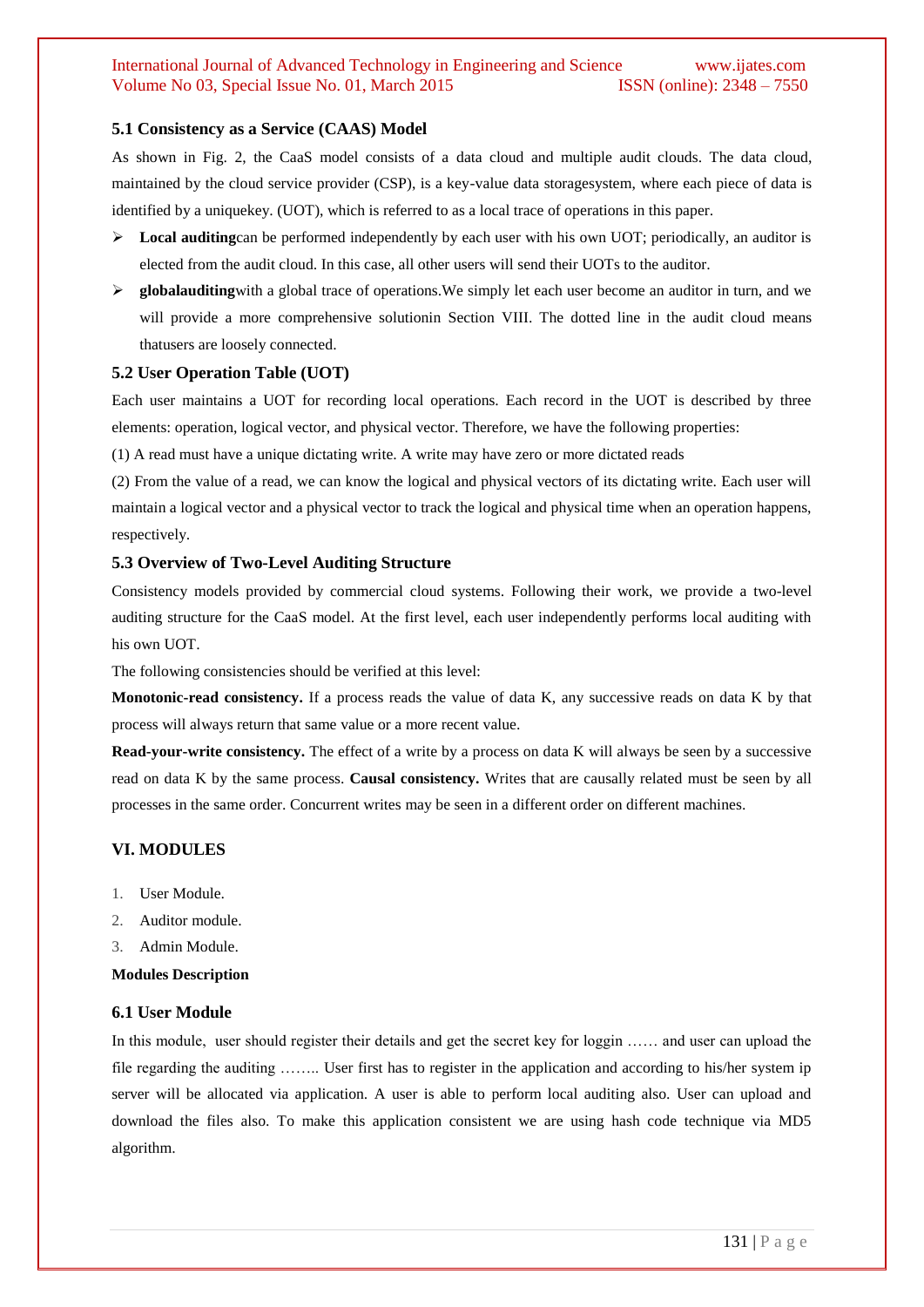# International Journal of Advanced Technology in Engineering and Science www.ijates.com Volume No 03, Special Issue No. 01, March 2015 **ISSN** (online): 2348 – 7550

#### **5.1 Consistency as a Service (CAAS) Model**

As shown in Fig. 2, the CaaS model consists of a data cloud and multiple audit clouds. The data cloud, maintained by the cloud service provider (CSP), is a key-value data storagesystem, where each piece of data is identified by a uniquekey. (UOT), which is referred to as a local trace of operations in this paper.

- **Local auditing**can be performed independently by each user with his own UOT; periodically, an auditor is elected from the audit cloud. In this case, all other users will send their UOTs to the auditor.
- **Example 3** globalauditing with a global trace of operations. We simply let each user become an auditor in turn, and we will provide a more comprehensive solutionin Section VIII. The dotted line in the audit cloud means thatusers are loosely connected.

#### **5.2 User Operation Table (UOT)**

Each user maintains a UOT for recording local operations. Each record in the UOT is described by three elements: operation, logical vector, and physical vector. Therefore, we have the following properties:

(1) A read must have a unique dictating write. A write may have zero or more dictated reads

(2) From the value of a read, we can know the logical and physical vectors of its dictating write. Each user will maintain a logical vector and a physical vector to track the logical and physical time when an operation happens, respectively.

#### **5.3 Overview of Two-Level Auditing Structure**

Consistency models provided by commercial cloud systems. Following their work, we provide a two-level auditing structure for the CaaS model. At the first level, each user independently performs local auditing with his own UOT.

The following consistencies should be verified at this level:

**Monotonic-read consistency.** If a process reads the value of data K, any successive reads on data K by that process will always return that same value or a more recent value.

**Read-your-write consistency.** The effect of a write by a process on data K will always be seen by a successive read on data K by the same process. **Causal consistency.** Writes that are causally related must be seen by all processes in the same order. Concurrent writes may be seen in a different order on different machines.

#### **VI. MODULES**

- 1. User Module.
- 2. Auditor module.
- 3. Admin Module.

#### **Modules Description**

#### **6.1 User Module**

In this module, user should register their details and get the secret key for loggin …… and user can upload the file regarding the auditing …….. User first has to register in the application and according to his/her system ip server will be allocated via application. A user is able to perform local auditing also. User can upload and download the files also. To make this application consistent we are using hash code technique via MD5 algorithm.